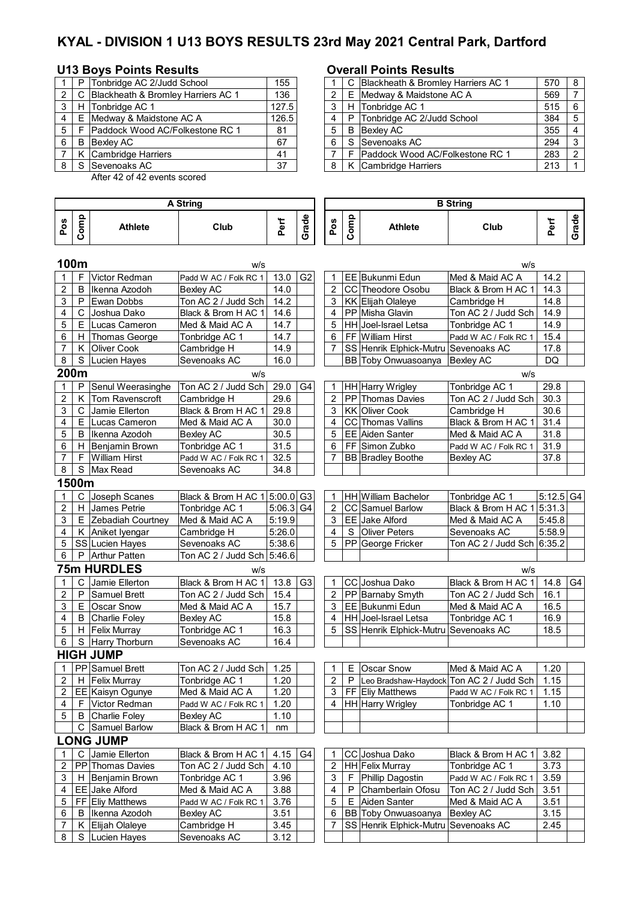# **KYAL - DIVISION 1 U13 BOYS RESULTS 23rd May 2021 Central Park, Dartford**

# U13 Boys Points Results **COVER 19 Boys Points Results**

|   | P Tonbridge AC 2/Judd School         | 155   |   |    | C Blackheath & Bromley Harriers AC 1    |
|---|--------------------------------------|-------|---|----|-----------------------------------------|
|   | C Blackheath & Bromley Harriers AC 1 | 136   |   |    | E Medway & Maidstone AC A               |
| 3 | H Tonbridge AC 1                     | 127.5 |   |    | H Tonbridge AC 1                        |
| 4 | E Medway & Maidstone AC A            | 126.5 | 4 |    | P Tonbridge AC 2/Judd School            |
| 5 | F Paddock Wood AC/Folkestone RC 1    | 81    | 5 | B  | Bexley AC                               |
| 6 | <b>B</b> Bexley AC                   | 67    | 6 | S. | Sevenoaks AC                            |
|   | K Cambridge Harriers                 | 41    |   | F  | <b>IPaddock Wood AC/Folkestone RC 1</b> |
|   | S Sevenoaks AC                       | 37    |   |    | K Cambridge Harriers                    |

8 S Lucien Hayes Sevenoaks AC 3.12

After 42 of 42 events scored

### **Pos Comp Athlete Club Perf Grade Pos Comp** Athlete | Club **Perf Grade 100m** w/s w/s 1 F Victor Redman Padd W AC / Folk RC 1 13.0 G2 1 EE Bukunmi Edun Med & Maid AC A 14.2 2 B Ikenna Azodoh Bexley AC 14.0 2 CC Theodore Osobu Black & Brom H AC 1 14.3  $\begin{array}{|c|c|c|c|c|c|}\n 3 & P & Ewan Dobbs & \hline \text{ Ton AC 2 / Judd Sch} & 14.2 & 3 & KK & Elijah Olaleye & \hline \text{Cambridge H} & 14.8 & 4 & C & \hline \text{Joshua Dakota} & 14.9 & 4 & PPMisha Glavin & \hline \end{array}$ 4 C Joshua Dako Black & Brom H AC 1 14.6 4 PP Misha Glavin Ton AC 2 / Judd Sch 14.9 5 E Lucas Cameron Med & Maid AC A  $\mid$  14.7  $\mid$   $\mid$  5 HH Joel-Israel Letsa Tonbridge AC 1 14.9 6 | H Thomas George | Tonbridge AC 1 | 14.7 | | | 6 | FF | William Hirst | Padd W AC / Folk RC 1 | 15.4 7 K Oliver Cook Cambridge H 14.9 7 SS Henrik Elphick-Mutru Sevenoaks AC 17.8 8 S Lucien Hayes Sevenoaks AC 16.0 | | BB Toby Onwuasoanya Bexley AC DQ **200m** w/s w/s 1 | P Senul Weerasinghe Ton AC 2 / Judd Sch | 29.0 | G4 | HH | Harry Wrigley | Tonbridge AC 1 | 29.8 2 | K | Tom Ravenscroft | Cambridge H | 29.6 | | | 2 | PP | Thomas Davies | Ton AC 2 / Judd Sch | 30.3 3 | C | Jamie Ellerton | Black & Brom H AC 1 | 29.8 | | | 3 | KK | Oliver Cook | Cambridge H | 30.6 4 | E |Lucas Cameron | Med & Maid AC A | 30.0 | | | 4 | CC | Thomas Vallins | Black & Brom H AC 1 | 31.4 5 | B |Ikenna Azodoh | Bexley AC | 30.5 | | | 5 | EE | Aiden Santer | Med & Maid AC A | 31.8 6 | H Benjamin Brown | Tonbridge AC 1 | 31.5 | | 6 | FF Simon Zubko | Padd W AC / Folk RC 1 | 31.9 7 F William Hirst Padd W AC / Folk RC 1 32.5 7 BB Bradley Boothe Bexley AC 37.8 8 S Max Read Sevenoaks AC 34.8 **1500m** 1 | C |Joseph Scanes | Black & Brom H AC 1 5:00.0 G3 | 1 | HH William Bachelor | Tonbridge AC 1 | 5:12.5 G4 2 H James Petrie Tonbridge AC 1 5:06.3 G4 2 CC Samuel Barlow Black & Brom H AC 1 5:31.3<br>3 E Zebadiah Courtney Med & Maid AC A 5:19.9 3 EE Jake Alford Med & Maid AC A 5:45.8  $3 \mid E \mid$  Zebadiah Courtney Med & Maid AC A  $\mid 5:19.9 \mid$   $\mid 3 \mid EE \mid$  Jake Alford 4 K Aniket Iyengar Cambridge H 5:26.0 4 S Oliver Peters Sevenoaks AC 5:58.9 5 SS Lucien Hayes Sevenoaks AC 5:38.6 5 PP George Fricker Ton AC 2 / Judd Sch 6:35.2 6 | P | Arthur Patten | Ton AC 2 / Judd Sch | 5:46.6 **75m HURDLES** w/s w/s 1 C Jamie Ellerton Black & Brom H AC 1 13.8 G3 1 CC Joshua Dako Black & Brom H AC 1 14.8 G4 2 P Samuel Brett Ton AC 2 / Judd Sch 15.4 2 PP Barnaby Smyth Ton AC 2 / Judd Sch 16.1  $\overline{2}$  E Oscar Snow Med & Maid AC A  $\overline{3}$  15.7  $\overline{3}$  | EE Bukunmi Edun Med & Maid AC A | 16.5 4 B Charlie Foley Bexley AC 15.8 4 HH Joel-Israel Letsa Tonbridge AC 1 16.9<br>15.8 H Felix Murray Tonbridge AC 1 16.3 5 S Henrik Elphick-Mutru Sevenoaks AC 18.5 5 | H Felix Murray Tonbridge AC 1 | 16.3 | | 5 | SS | Henrik Elphick-Mutru Sevenoaks AC | 18.5 6 S Harry Thorburn Sevenoaks AC 16.4 **HIGH JUMP** 1 PP Samuel Brett Ton AC 2 / Judd Sch | 1.25 | | | 1 | E | Oscar Snow Med & Maid AC A | 1.20 2 | H Felix Murray Tonbridge AC 1 | 1.20 | | | 2 | P | Leo Bradshaw-Haydock Ton AC 2 / Judd Sch | 1.15 2 EE Kaisyn Ogunye Med & Maid AC A 1.20 3 FF Eliy Matthews Padd W AC / Folk RC 1 1.15 4 | F | Victor Redman | Padd W AC / Folk RC 1 | 1.20 | | | 4 | HH | Harry Wrigley | Tonbridge AC 1 | 1.10 5 | B Charlie Foley | Bexley AC | 1.10 C Samuel Barlow Black & Brom H AC 1 nm **LONG JUMP**<br>1 C Jamie Ellerton 1 C Jamie Ellerton Black & Brom H AC 1 4.15 G4 1 CC Joshua Dako Black & Brom H AC 1 3.82 2 PP Thomas Davies Ton AC 2 / Judd Sch 4.10 2 HH Felix Murray Tonbridge AC 1 3.73  $3$  | H Benjamin Brown  $\blacksquare$  Tonbridge AC 1  $\blacksquare$  3.96  $\blacksquare$  | 3 | F | Phillip Dagostin  $\blacksquare$  Padd W AC / Folk RC 1 | 3.59 4 **EE** Jake Alford Med & Maid AC A 3.88 4 P Chamberlain Ofosu Ton AC 2 / Judd Sch 3.51 5 FF Eliy Matthews Padd W AC / Folk RC 1 3.76 | 5 | E Aiden Santer Med & Maid AC A 3.51 6 B Ikenna Azodoh Bexley AC 3.51 6 BB Toby Onwuasoanya Bexley AC 3.15 7 | K | Elijah Olaleye | Cambridge H | 3.45 | | | 7 | SS | Henrik Elphick-Mutru | Sevenoaks AC | 2.45 **A String B String**

|     | P   | Tonbridge AC 2/Judd School           | 155   |   | C Blackheath & Bromley Harriers AC 1 | 570 | -8 |
|-----|-----|--------------------------------------|-------|---|--------------------------------------|-----|----|
| 2 I |     | C Blackheath & Bromley Harriers AC 1 | 136   |   | E Medway & Maidstone AC A            | 569 |    |
| 3 I | H   | Tonbridge AC 1                       | 127.5 |   | H Tonbridge AC 1                     | 515 | -6 |
| 4   | E   | Medway & Maidstone AC A              | 126.5 |   | P Tonbridge AC 2/Judd School         | 384 |    |
| 5 I |     | Paddock Wood AC/Folkestone RC 1      | 81    |   | <b>B</b> Bexley AC                   | 355 |    |
| 6   | В   | <b>Bexlev AC</b>                     | 67    | 6 | S Sevenoaks AC                       | 294 |    |
|     |     | K Cambridge Harriers                 | 41    |   | Paddock Wood AC/Folkestone RC 1      | 283 | ົ  |
| 8 I | . S | Sevenoaks AC                         | 37    |   | K Cambridge Harriers                 | 213 |    |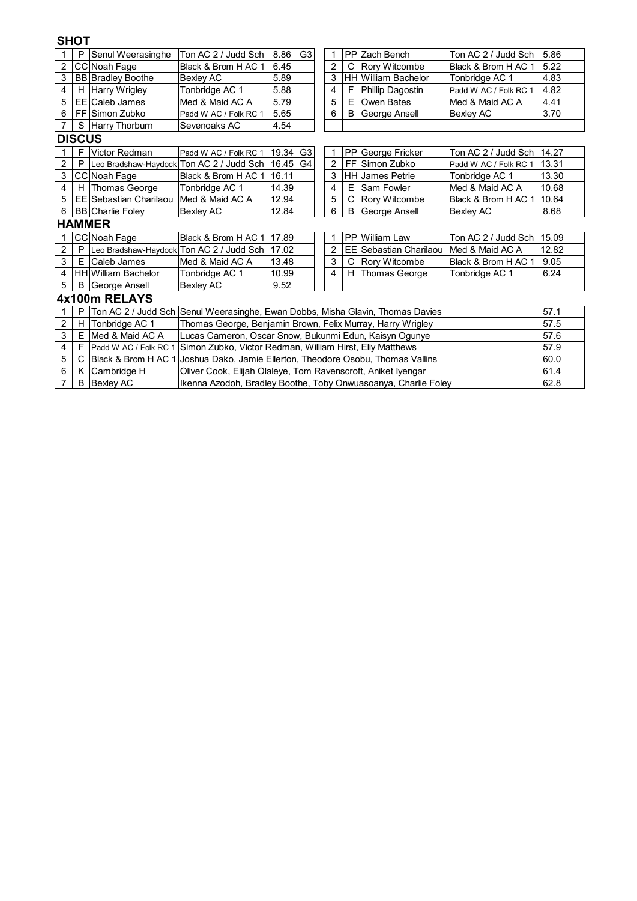## **SHOT**

 $\mathsf{I}$ 

| $\mathbf{1}$   | P             | Senul Weerasinghe             | Ton AC 2 / Judd Sch                                                | 8.86                                                                                    | G <sub>3</sub> | 1 |    | PP Zach Bench              | Ton AC 2 / Judd Sch   | 5.86  |  |  |  |
|----------------|---------------|-------------------------------|--------------------------------------------------------------------|-----------------------------------------------------------------------------------------|----------------|---|----|----------------------------|-----------------------|-------|--|--|--|
| 2              |               | CC Noah Fage                  | Black & Brom H AC 1                                                | 6.45                                                                                    |                | 2 | С  | Rory Witcombe              | Black & Brom H AC 1   | 5.22  |  |  |  |
| 3              |               | <b>BB Bradley Boothe</b>      | <b>Bexley AC</b>                                                   | 5.89                                                                                    |                | 3 |    | <b>HH</b> William Bachelor | Tonbridge AC 1        | 4.83  |  |  |  |
| 4              | H             | <b>Harry Wrigley</b>          | Tonbridge AC 1                                                     | 5.88                                                                                    |                | 4 | F  | Phillip Dagostin           | Padd W AC / Folk RC 1 | 4.82  |  |  |  |
| 5              |               | <b>EE</b> Caleb James         | Med & Maid AC A                                                    | 5.79                                                                                    |                | 5 | Е  | Owen Bates                 | Med & Maid AC A       | 4.41  |  |  |  |
| 6              |               | FF Simon Zubko                | Padd W AC / Folk RC 1                                              | 5.65                                                                                    |                | 6 | B  | George Ansell              | <b>Bexley AC</b>      | 3.70  |  |  |  |
| $\overline{7}$ | S             | Harry Thorburn                | Sevenoaks AC                                                       | 4.54                                                                                    |                |   |    |                            |                       |       |  |  |  |
|                | <b>DISCUS</b> |                               |                                                                    |                                                                                         |                |   |    |                            |                       |       |  |  |  |
| $\mathbf{1}$   | F             | Victor Redman                 | Padd W AC / Folk RC 1                                              | 19.34                                                                                   | G <sub>3</sub> |   |    | PP George Fricker          | Ton AC 2 / Judd Sch   | 14.27 |  |  |  |
| 2              | P             |                               | Leo Bradshaw-Haydock Ton AC 2 / Judd Sch                           | 16.45<br>2<br>Simon Zubko<br>13.31<br>G4<br>FF<br>Padd W AC / Folk RC 1                 |                |   |    |                            |                       |       |  |  |  |
| 3              |               | CC Noah Fage                  | Black & Brom H AC 1                                                | 13.30<br>16.11<br>3<br><b>HH</b> James Petrie<br>Tonbridge AC 1                         |                |   |    |                            |                       |       |  |  |  |
| 4              | Н             | Thomas George                 | Tonbridge AC 1                                                     | 10.68<br>14.39<br>Е<br>Med & Maid AC A<br>4<br>Sam Fowler                               |                |   |    |                            |                       |       |  |  |  |
| 5              |               | <b>EE Sebastian Charilaou</b> | Med & Maid AC A                                                    | 5<br>C<br>Rory Witcombe<br>Black & Brom H AC 1<br>10.64<br>12.94                        |                |   |    |                            |                       |       |  |  |  |
| 6              |               | <b>BB</b> Charlie Foley       | 6<br>B<br>12.84<br>George Ansell<br><b>Bexley AC</b><br>Bexley AC  |                                                                                         |                |   |    |                            |                       |       |  |  |  |
|                |               | <b>HAMMER</b>                 |                                                                    |                                                                                         |                |   |    |                            |                       |       |  |  |  |
| $\mathbf 1$    |               | CC Noah Fage                  | Black & Brom H AC 1                                                | 17.89                                                                                   |                |   |    | PP William Law             | Ton AC 2 / Judd Sch   | 15.09 |  |  |  |
| 2              | P             |                               | Leo Bradshaw-Haydock Ton AC 2 / Judd Sch                           | 17.02                                                                                   |                | 2 | EE | <b>Sebastian Charilaou</b> | IMed & Maid AC A      | 12.82 |  |  |  |
| 3              | E             | Caleb James                   | Med & Maid AC A                                                    | 13.48                                                                                   |                | 3 | C  | Rory Witcombe              | Black & Brom H AC 1   | 9.05  |  |  |  |
| 4              |               | <b>HH</b> William Bachelor    | Tonbridge AC 1                                                     | 10.99                                                                                   |                | 4 | H  | <b>Thomas George</b>       | Tonbridge AC 1        | 6.24  |  |  |  |
| 5              | В             | George Ansell                 | Bexley AC                                                          | 9.52                                                                                    |                |   |    |                            |                       |       |  |  |  |
|                |               | 4x100m RELAYS                 |                                                                    |                                                                                         |                |   |    |                            |                       |       |  |  |  |
| 1              | P             |                               |                                                                    | Ton AC 2 / Judd Sch  Senul Weerasinghe, Ewan Dobbs, Misha Glavin, Thomas Davies<br>57.1 |                |   |    |                            |                       |       |  |  |  |
| $\overline{2}$ | н             | Tonbridge AC 1                | Thomas George, Benjamin Brown, Felix Murray, Harry Wrigley<br>57.5 |                                                                                         |                |   |    |                            |                       |       |  |  |  |
| 3              | E             | Med & Maid AC A               | Lucas Cameron, Oscar Snow, Bukunmi Edun, Kaisyn Ogunye             |                                                                                         |                |   |    |                            |                       | 57.6  |  |  |  |
| 4              | F             | Padd W AC / Folk RC 1         | Simon Zubko, Victor Redman, William Hirst, Eliy Matthews           |                                                                                         |                |   |    |                            |                       | 57.9  |  |  |  |
| 5              | C             | IBlack & Brom H AC 1          |                                                                    | Joshua Dako, Jamie Ellerton, Theodore Osobu, Thomas Vallins<br>60.0                     |                |   |    |                            |                       |       |  |  |  |
| 6              | K.            | Cambridge H                   | Oliver Cook, Elijah Olaleye, Tom Ravenscroft, Aniket Iyengar       |                                                                                         |                |   |    |                            |                       | 61.4  |  |  |  |

7 B Bexley AC 62.8

Ikenna Azodoh, Bradley Boothe, Toby Onwuasoanya, Charlie Foley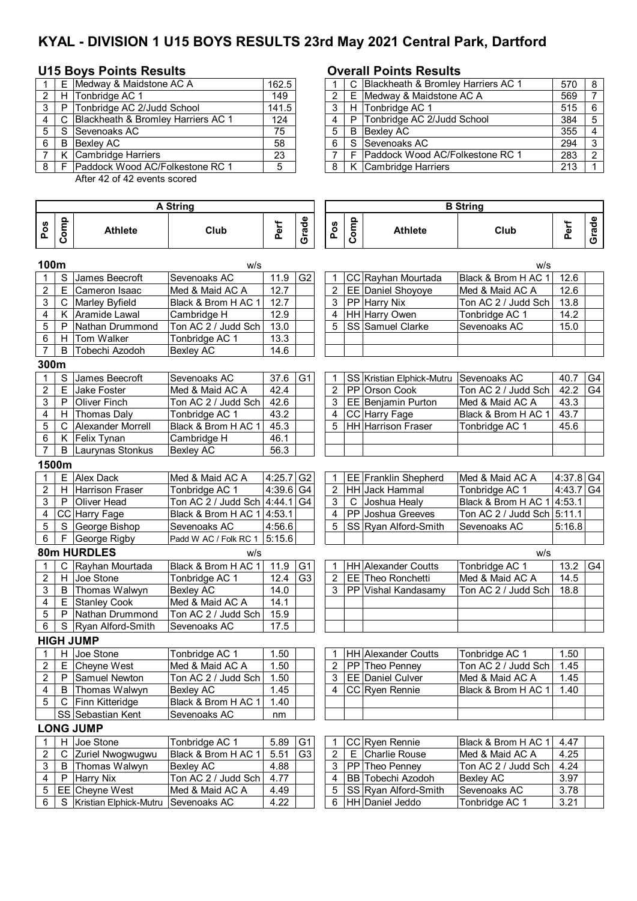# **KYAL - DIVISION 1 U15 BOYS RESULTS 23rd May 2021 Central Park, Dartford**

# **U15 Boys Points Results Overall Points Results**

|   |   | E Medway & Maidstone AC A            | 162.5            |   |              | C Blackheath & Bromley Harriers AC 1 |
|---|---|--------------------------------------|------------------|---|--------------|--------------------------------------|
|   |   | H Tonbridge AC 1                     | $\overline{149}$ |   |              | E Medway & Maidstone AC A            |
|   | P | Tonbridge AC 2/Judd School           | 141.5            |   |              | H Tonbridge AC 1                     |
|   |   | C Blackheath & Bromley Harriers AC 1 | 124              |   | P.           | Tonbridge AC 2/Judd School           |
|   |   | S Sevenoaks AC                       | 75               | 5 | <sub>B</sub> | <b>Bexley AC</b>                     |
| 6 | B | Bexley AC                            | 58               | 6 |              | S Sevenoaks AC                       |
|   |   | K Cambridge Harriers                 | 23               |   |              | Paddock Wood AC/Folkestone RC 1      |
|   |   | F   Paddock Wood AC/Folkestone RC 1  | 5                | 8 |              | K Cambridge Harriers                 |

After 42 of 42 events scored

### **Pos Comp** Athlete **Club Perf Grade Pos Comp Athlete Club Perf Grade 100m** w/s w/s 1 S James Beecroft Sevenoaks AC 11.9 G2 1 CC Rayhan Mourtada Black & Brom H AC 1 12.6 2 E Cameron Isaac Med & Maid AC A  $\mid$  12.7  $\mid$  2 EE Daniel Shoyoye Med & Maid AC A 12.6 3 C Marley Byfield Black & Brom H AC 1 12.7 3 PP Harry Nix Ton AC 2 / Judd Sch 13.8<br>4 K Aramide Lawal Cambridge H 12.9 4 HH Harry Owen Tonbridge AC 1 14.2 4 K Aramide Lawal Cambridge H 12.9 4 HH Harry Owen Tonbridge AC 1 14.2<br>5 P Nathan Drummond Ton AC 2 / Judd Sch 13.0 5 SS Samuel Clarke Sevenoaks AC 15.0 5 P Nathan Drummond Ton AC 2 / Judd Sch 13.0 5 SS Samuel Clarke Sevenoaks AC 6 H Tom Walker Tonbridge AC 1 | 13.3 7 B Tobechi Azodoh Bexley AC 14.6 **300m** 1 S James Beecroft Sevenoaks AC 1 37.6 G1 1 SS Kristian Elphick-Mutru Sevenoaks AC 40.7 G4 2 | E Jake Foster Med & Maid AC A | 42.4 | | | 2 | PP Orson Cook Ton AC 2 / Judd Sch | 42.2 | G4 3 P Oliver Finch Ton AC 2 / Judd Sch 42.6 3 EE Benjamin Purton Med & Maid AC A 43.3<br>4 H Thomas Dalv Tonbridge AC 1 43.2 4 CC Harry Fage Black & Brom H AC 1 43.7 4 | H Thomas Daly | Tonbridge AC 1 | 43.2 | | 4 CC Harry Fage | Black & Brom H AC 1 | 43.7 5 | C | Alexander Morrell | Black & Brom H AC 1 | 45.3 | | | 5 | HH | Harrison Fraser | Tonbridge AC 1 | 45.6 6 K Felix Tynan Cambridge H 46.1 7 | B | Laurynas Stonkus | Bexley AC | 56.3 **1500m** 1 E Alex Dack Med & Maid AC A 4:25.7 G2 1 EE Franklin Shepherd Med & Maid AC A 4:37.8 G4 2 H Harrison Fraser Tonbridge AC 1 4:39.6 G4 2 HH Jack Hammal Tonbridge AC 1 4:43.7 G4<br>3 P Oliver Head Ton AC 2 / Judd Sch 4:44.1 G4 3 C Joshua Healy Black & Brom H AC 14:53.1 3 P Oliver Head Ton AC 2 / Judd Sch 4:44.1 G4 3 C Joshua Healy Black & Brom H AC 1 4:53.1<br>4 CC Harry Fage Black & Brom H AC 1 4:53.1 4 PP Joshua Greeves Ton AC 2 / Judd Sch 5:11.1 4 CC Harry Fage Black & Brom H AC 1 4:53.1 | | 4 PP Joshua Greeves Ton AC 2 / Judd Sch 5:11.1 5 S George Bishop Sevenoaks AC 4:56.6 5 SS Ryan Alford-Smith Sevenoaks AC 5:16.8<br>6 F George Rigby Padd W AC / Folk RC 1 5:15.6  $6$  F George Rigby Padd W AC / Folk RC 1  $5:15.6$ **80m HURDLES** w/s w/s 1 | C | Rayhan Mourtada | Black & Brom H AC 1 | 11.9 | G1 | T | HH | Alexander Coutts | Tonbridge AC 1 | 13.2 | G4 2 | H Joe Stone Tonbridge AC 1 | 12.4 | G3 | 2 | EE Theo Ronchetti Med & Maid AC A | 14.5 3 B Thomas Walwyn Bexley AC 14.0 3 PP Vishal Kandasamy Ton AC 2 / Judd Sch 18.8 4 | E Stanley Cook Med & Maid AC A | 14.1 5 | P Nathan Drummond | Ton AC 2 / Judd Sch | 15.9 6 S Ryan Alford-Smith Sevenoaks AC 17.5 **HIGH JUMP**<br>1 H Joe Stone 1 H Joe Stone Tonbridge AC 1 1.50 1 HH Alexander Coutts Tonbridge AC 1 1.50 2 E Cheyne West Med & Maid AC A 1.50 2 PP Theo Penney Ton AC 2 / Judd Sch 1.45 2 P Samuel Newton Ton AC 2 / Judd Sch | 1.50 | | | 3 | EE Daniel Culver Med & Maid AC A | 1.45 4 | B | Thomas Walwyn | Bexley AC | 1.45 | | | 4 | CC | Ryen Rennie | Black & Brom H AC 1 | 1.40 5 | C Finn Kitteridge | Black & Brom H AC 1 | 1.40 SS Sebastian Kent Sevenoaks AC nm **LONG JUMP** 1 H Joe Stone Tonbridge AC 1 | 5.89 G1 | 1 CC Ryen Rennie | Black & Brom H AC 1 | 4.47<br>2 C Zuriel Nwogwugwu | Black & Brom H AC 1 | 5.51 | G3 | 2 | E Charlie Rouse | Med & Maid AC A | 4.25 2 C Zuriel Nwogwugwu Black & Brom H AC 1 5.51 G3 2 E Charlie Rouse Med & Maid AC A 2.5<br>
2 B Thomas Walwyn Bexley AC 4.88 3 PP Theo Penney Ton AC 2 / Judd Sch 4.24 3 B Thomas Walwyn Bexley AC 4.88 3 PP Theo Penney Ton AC 2 / Judd Sch 4.24<br>4 P Harry Nix Ton AC 2 / Judd Sch 4.77 4 BB Tobechi Azodoh Bexley AC 3.97 4 P Harry Nix Ton AC 2 / Judd Sch 4.77 4 BB Tobechi Azodoh Bexley AC 3.97<br>5 EE Chevne West Med & Maid AC A 4.49 5 SS Rvan Alford-Smith Sevenoaks AC 3.78 5 EE Cheyne West Med & Maid AC A 4.49 5 SS Ryan Alford-Smith Sevenoaks AC<br>6 S Kristian Elphick-Mutru Sevenoaks AC 4.22 6 HH Daniel Jeddo Tonbridge AC 1 6 S Kristian Elphick-Mutru Sevenoaks AC 4.22 6 HH Daniel Jeddo Tonbridge AC 1 3.21 **B String A String**

|     | F     | Medway & Maidstone AC A                | 162.5 |  | Blackheath & Bromley Harriers AC 1     | 570 |  |
|-----|-------|----------------------------------------|-------|--|----------------------------------------|-----|--|
| 2 I | H     | Tonbridge AC 1                         | 149   |  | E Medway & Maidstone AC A              | 569 |  |
| 3   | P     | Tonbridge AC 2/Judd School             | 141.5 |  | H Tonbridge AC 1                       | 515 |  |
|     |       | C Blackheath & Bromley Harriers AC 1   | 124   |  | P Tonbridge AC 2/Judd School           | 384 |  |
|     |       | 5 S I Sevenoaks AC                     | 75    |  | <b>B</b> Bexlev AC                     | 355 |  |
| 6   | B     | Bexlev AC                              | 58    |  | S Sevenoaks AC                         | 294 |  |
|     |       | K Cambridge Harriers                   | 23    |  | <b>Paddock Wood AC/Folkestone RC 1</b> | 283 |  |
|     | 8 I F | <b>Paddock Wood AC/Folkestone RC 1</b> |       |  | K Cambridge Harriers                   | 213 |  |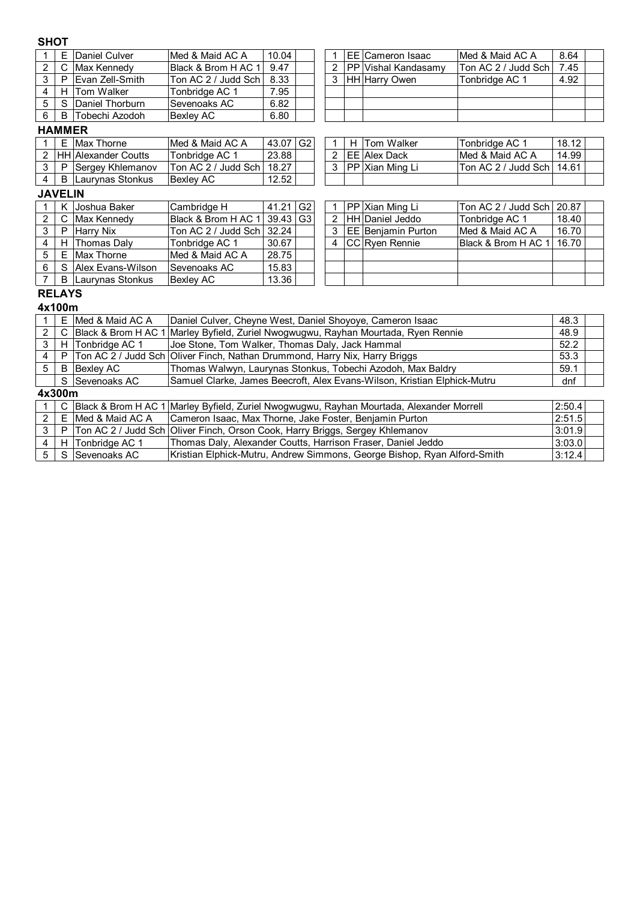# **SHOT**

|     | E Daniel Culver         | Med & Maid AC A                | 10.04 |  | I EE ICameron Isaac         | IMed & Maid AC A    | 8.64 |  |
|-----|-------------------------|--------------------------------|-------|--|-----------------------------|---------------------|------|--|
|     | Max Kennedy             | <b>Black &amp; Brom H AC 1</b> | 9.47  |  | <b>IPP Vishal Kandasamv</b> | Ton AC 2 / Judd Sch | 7.45 |  |
|     | <b>IEvan Zell-Smith</b> | Ton AC 2 / Judd Sch I          | 8.33  |  | <b>HH Harry Owen</b>        | Tonbridge AC 1      | 4.92 |  |
|     | H Tom Walker            | Tonbridge AC 1                 | 7.95  |  |                             |                     |      |  |
|     | S Daniel Thorburn       | Sevenoaks AC                   | 6.82  |  |                             |                     |      |  |
| B I | Tobechi Azodoh          | Bexlev AC                      | 6.80  |  |                             |                     |      |  |

## **HAMMER**

|  |  | Е  | Max Thorne                 | IMed & Maid AC A            | 43.07 G2 |  |  |  |  | H Tom Walker     | Tonbridge AC 1               | 18.12 |
|--|--|----|----------------------------|-----------------------------|----------|--|--|--|--|------------------|------------------------------|-------|
|  |  |    | <b>HH Alexander Coutts</b> | Tonbridae AC 1              | 23.88    |  |  |  |  | I EE IAIex Dack  | IMed & Maid AC A             | 14.99 |
|  |  | P. | Sergey Khlemanov           | Ton AC 2 / Judd Sch   18.27 |          |  |  |  |  | IPP Xian Ming Li | lTon AC 2 / Judd Sch l 14.61 |       |
|  |  | B. | ILaurvnas Stonkus          | <b>Bexlev AC</b>            | 12.52    |  |  |  |  |                  |                              |       |
|  |  |    |                            |                             |          |  |  |  |  |                  |                              |       |

## **JAVELIN**

|   |    | Joshua Baker      | Cambridge H                      | 41.21 G2 |  |  | <b>PP Xian Ming Li</b>     | Ton AC 2 / Judd Sch 20.87 |       |
|---|----|-------------------|----------------------------------|----------|--|--|----------------------------|---------------------------|-------|
|   |    | Max Kennedy       | Black & Brom H AC 1   39.43   G3 |          |  |  | 2 HH Daniel Jeddo          | Tonbridge AC 1            | 18.40 |
|   | P  | <b>Harry Nix</b>  |                                  |          |  |  | <b>IEE Beniamin Purton</b> | Med & Maid AC A           | 16.70 |
|   |    | H Thomas Dalv     | Tonbridge AC 1                   | 30.67    |  |  | <b>CC</b> Ryen Rennie      | Black & Brom H AC 1       | 16.70 |
| 5 |    | E Max Thorne      | Med & Maid AC A                  | 28.75    |  |  |                            |                           |       |
| 6 | S. | Alex Evans-Wilson | Sevenoaks AC                     | 15.83    |  |  |                            |                           |       |
|   | B  | Laurvnas Stonkus  | IBexlev AC                       | 13.36    |  |  |                            |                           |       |

|  | 1 PP Xian Ming Li      | Ton AC 2 / Judd Sch   20.87 |       |  |
|--|------------------------|-----------------------------|-------|--|
|  | 2 HH Daniel Jeddo      | Tonbridge AC 1              | 18.40 |  |
|  | 3   EE Benjamin Purton | Med & Maid AC A             | 16.70 |  |
|  | 4 CC Ryen Rennie       | Black & Brom H AC 1   16.70 |       |  |
|  |                        |                             |       |  |
|  |                        |                             |       |  |
|  |                        |                             |       |  |

### **RELAYS 4x100m**

|             | 4X IUUIII |                    |                                                                                            |        |  |  |  |  |  |  |  |
|-------------|-----------|--------------------|--------------------------------------------------------------------------------------------|--------|--|--|--|--|--|--|--|
|             | E.        | Med & Maid AC A    | Daniel Culver, Cheyne West, Daniel Shoyoye, Cameron Isaac                                  | 48.3   |  |  |  |  |  |  |  |
| 2           |           |                    | C Black & Brom H AC 1 Marley Byfield, Zuriel Nwogwugwu, Rayhan Mourtada, Ryen Rennie       | 48.9   |  |  |  |  |  |  |  |
| 3           |           | H Tonbridge AC 1   | Joe Stone, Tom Walker, Thomas Daly, Jack Hammal                                            | 52.2   |  |  |  |  |  |  |  |
| 4           | P         |                    | Ton AC 2 / Judd Sch Oliver Finch, Nathan Drummond, Harry Nix, Harry Briggs                 | 53.3   |  |  |  |  |  |  |  |
| 5           | B         | <b>Bexley AC</b>   | Thomas Walwyn, Laurynas Stonkus, Tobechi Azodoh, Max Baldry                                | 59.1   |  |  |  |  |  |  |  |
|             |           | S Sevenoaks AC     | Samuel Clarke, James Beecroft, Alex Evans-Wilson, Kristian Elphick-Mutru                   | dnf    |  |  |  |  |  |  |  |
| 4x300m      |           |                    |                                                                                            |        |  |  |  |  |  |  |  |
|             |           |                    | C Black & Brom H AC 1 Marley Byfield, Zuriel Nwogwugwu, Rayhan Mourtada, Alexander Morrell | 2:50.4 |  |  |  |  |  |  |  |
| 2           |           | E IMed & Maid AC A | Cameron Isaac, Max Thorne, Jake Foster, Benjamin Purton                                    | 2:51.5 |  |  |  |  |  |  |  |
| 3           | P         |                    | Ton AC 2 / Judd Sch Oliver Finch, Orson Cook, Harry Briggs, Sergey Khlemanov               | 3:01.9 |  |  |  |  |  |  |  |
| 4           |           | H Tonbridge AC 1   | Thomas Daly, Alexander Coutts, Harrison Fraser, Daniel Jeddo                               | 3:03.0 |  |  |  |  |  |  |  |
| $5^{\circ}$ |           | S Sevenoaks AC     | Kristian Elphick-Mutru, Andrew Simmons, George Bishop, Ryan Alford-Smith                   | 3:12.4 |  |  |  |  |  |  |  |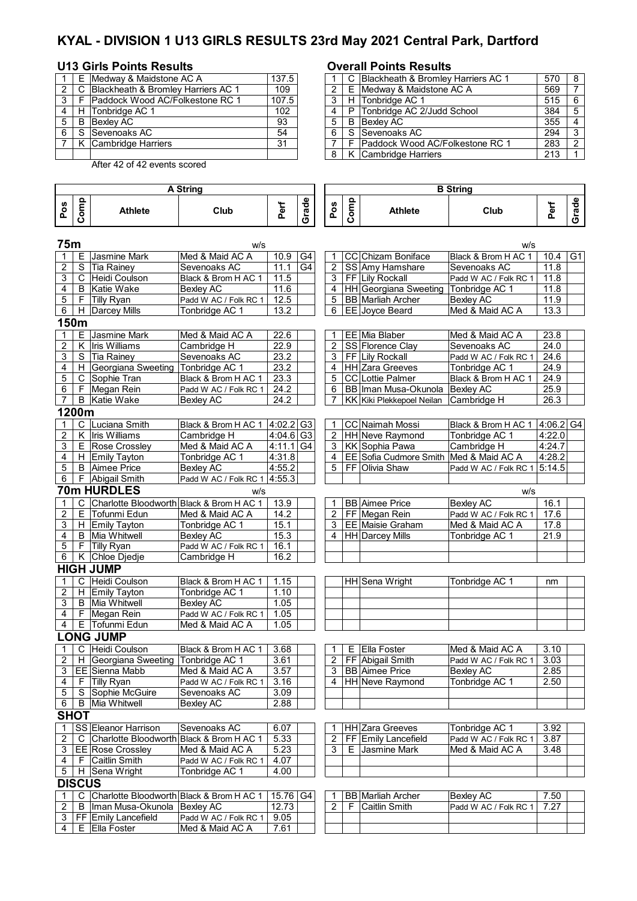# **KYAL - DIVISION 1 U13 GIRLS RESULTS 23rd May 2021 Central Park, Dartford**

# **U13 Girls Points Results Overall Points Results**

**Pos Comp**

|                |   | E Medway & Maidstone AC A            | 137.5 |   | C Blackheath & Bromley Harriers AC 1 |
|----------------|---|--------------------------------------|-------|---|--------------------------------------|
|                |   | C Blackheath & Bromley Harriers AC 1 | 109   |   | E Medway & Maidstone AC A            |
| 3 <sup>1</sup> |   | F Paddock Wood AC/Folkestone RC 1    | 107.5 |   | H Tonbridge AC 1                     |
|                |   | H Tonbridge AC 1                     | 102   |   | P Tonbridge AC 2/Judd School         |
| 5              | B | Bexlev AC                            | 93    | 5 | B Bexlev AC                          |
| 6              |   | S Sevenoaks AC                       | 54    |   | S Sevenoaks AC                       |
|                |   | K Cambridge Harriers                 | 31    |   | F Paddock Wood AC/Folkestone RC 1    |
|                |   |                                      |       |   | 8 K Cambridge Harriers               |

Athlete **Club** 

**A String B String**

After 42 of 42 events scored

|              | E Medway & Maidstone AC A            | 137.5 |  |   | C Blackheath & Bromley Harriers AC 1 | 570 | -8 |
|--------------|--------------------------------------|-------|--|---|--------------------------------------|-----|----|
| $\mathbf{2}$ | C Blackheath & Bromley Harriers AC 1 | 109   |  | F | Medway & Maidstone AC A              | 569 |    |
| 3 I          | Paddock Wood AC/Folkestone RC 1      | 107.5 |  |   | H Tonbridge AC 1                     | 515 | -6 |
| 4 I          | Tonbridge AC 1                       | 102   |  | P | Tonbridge AC 2/Judd School           | 384 | 5  |
| 5   B        | Bexlev AC                            | 93    |  | B | Bexlev AC                            | 355 |    |
| 6            | Sevenoaks AC                         | 54    |  |   | S Sevenoaks AC                       | 294 | 3  |
|              | K Cambridge Harriers                 | 31    |  |   | Paddock Wood AC/Folkestone RC 1      | 283 | 2  |
|              |                                      |       |  |   | K Cambridge Harriers                 | 213 |    |

|                                         |                                   |                | <b>B</b> String |       |                   |
|-----------------------------------------|-----------------------------------|----------------|-----------------|-------|-------------------|
| Φ<br><b>AA</b><br>ъ<br>ಸ<br>Φ<br>o<br>ඏ | Q<br><b>S</b><br>-<br>٥<br>ਠ<br>n | <b>Athlete</b> | Club            | <br>ω | ω<br>ъ<br>œ<br>ŕ٦ |

| 75m |                |                                          | w/s                               |                         |    |                               |   |                                                            | w/s                   |             |                |
|-----|----------------|------------------------------------------|-----------------------------------|-------------------------|----|-------------------------------|---|------------------------------------------------------------|-----------------------|-------------|----------------|
| 1   | Е.             | Jasmine Mark                             | Med & Maid AC A                   | 10.9                    | G4 | -1                            |   | CC Chizam Boniface                                         | Black & Brom H AC 1   | 10.4        | G <sub>1</sub> |
| 2   |                | S Tia Rainey                             | Sevenoaks AC                      | 11.1                    | G4 | $\overline{c}$                |   | SS Amy Hamshare                                            | Sevenoaks AC          | 11.8        |                |
| 3   |                | C Heidi Coulson                          | Black & Brom H AC 1               | 11.5                    |    | 3                             |   | FF Lily Rockall                                            | Padd W AC / Folk RC 1 | 11.8        |                |
| 4   | B              | Katie Wake                               | Bexley AC                         | 11.6                    |    | 4                             |   | HH Georgiana Sweeting                                      | Tonbridge AC 1        | 11.8        |                |
| 5   | F              | <b>Tilly Ryan</b>                        | Padd W AC / Folk RC 1             | 12.5                    |    | 5                             |   | <b>BB</b> Marliah Archer                                   | <b>Bexley AC</b>      | 11.9        |                |
| 6   |                | H Darcey Mills                           | Tonbridge AC 1                    | 13.2                    |    | 6                             |   | EE Joyce Beard                                             | Med & Maid AC A       | 13.3        |                |
|     | 150m           |                                          |                                   |                         |    |                               |   |                                                            |                       |             |                |
| 1   | E.             | Jasmine Mark                             | Med & Maid AC A                   | 22.6                    |    | 1                             |   | EE Mia Blaber                                              | Med & Maid AC A       | 23.8        |                |
| 2   | Κ              | <b>Iris Williams</b>                     | Cambridge H                       | 22.9                    |    | $\overline{c}$                |   | SS Florence Clay                                           | Sevenoaks AC          | 24.0        |                |
| 3   |                | S Tia Rainey                             | Sevenoaks AC                      | 23.2                    |    | 3                             |   | FF Lily Rockall                                            | Padd W AC / Folk RC 1 | 24.6        |                |
| 4   |                | H Georgiana Sweeting                     | Tonbridge AC 1                    | 23.2                    |    | 4                             |   | <b>HH</b> Zara Greeves                                     | Tonbridge AC 1        | 24.9        |                |
| 5   |                | C Sophie Tran                            | Black & Brom H AC 1               | 23.3                    |    | 5                             |   | <b>CC</b> Lottie Palmer                                    | Black & Brom H AC 1   | 24.9        |                |
| 6   |                | F Megan Rein                             | Padd W AC / Folk RC 1             | 24.2                    |    | 6                             |   | BB Iman Musa-Okunola                                       | <b>Bexley AC</b>      | 25.9        |                |
| 7   |                | <b>B</b> Katie Wake                      | Bexley AC                         | 24.2                    |    | 7                             |   | KK Kiki Plekkepoel Neilan                                  | Cambridge H           | 26.3        |                |
|     | 1200m          |                                          |                                   |                         |    |                               |   |                                                            |                       |             |                |
|     |                | C Luciana Smith                          |                                   |                         |    |                               |   |                                                            |                       |             |                |
| 1   |                | K Iris Williams                          | Black & Brom H AC 1 4:02.2 G3     | $4:04.6$ G <sub>3</sub> |    | $\mathbf 1$<br>$\overline{2}$ |   | <b>CC</b> Naimah Mossi                                     | Black & Brom H AC 1   | $4:06.2$ G4 |                |
| 2   |                |                                          | Cambridge H                       |                         |    |                               |   | HH Neve Raymond                                            | Tonbridge AC 1        | 4:22.0      |                |
| 3   |                | E Rose Crossley                          | Med & Maid AC A<br>Tonbridge AC 1 | 4:11.1 G4               |    | 3                             |   | <b>KK Sophia Pawa</b>                                      | Cambridge H           | 4:24.7      |                |
| 4   |                | H Emily Tayton                           |                                   | 4:31.8                  |    | 4                             |   | EE Sofia Cudmore Smith   Med & Maid AC A<br>FF Olivia Shaw |                       | 4:28.2      |                |
| 5   |                | <b>B</b> Aimee Price                     | <b>Bexley AC</b>                  | 4:55.2                  |    | 5                             |   |                                                            | Padd W AC / Folk RC 1 | 5:14.5      |                |
| 6   |                | F Abigail Smith                          | Padd W AC / Folk RC 1             | 4:55.3                  |    |                               |   |                                                            |                       |             |                |
|     |                | <b>70m HURDLES</b>                       | w/s                               |                         |    |                               |   |                                                            | w/s                   |             |                |
| 1   | C              | Charlotte Bloodworth Black & Brom H AC 1 |                                   | 13.9                    |    | 1                             |   | <b>BB</b> Aimee Price                                      | <b>Bexley AC</b>      | 16.1        |                |
| 2   | Е.             | Tofunmi Edun                             | Med & Maid AC A                   | 14.2                    |    | $\overline{2}$                |   | FF Megan Rein                                              | Padd W AC / Folk RC 1 | 17.6        |                |
| 3   |                | H Emily Tayton                           | Tonbridge AC 1                    | 15.1                    |    | 3                             |   | <b>EE</b> Maisie Graham                                    | Med & Maid AC A       | 17.8        |                |
| 4   |                | <b>B</b> Mia Whitwell                    | <b>Bexley AC</b>                  | 15.3                    |    | 4                             |   | <b>HH Darcey Mills</b>                                     | Tonbridge AC 1        | 21.9        |                |
| 5   |                | F Tilly Ryan                             | Padd W AC / Folk RC 1             | 16.1                    |    |                               |   |                                                            |                       |             |                |
| 6   |                | K Chloe Djedje                           | Cambridge H                       | 16.2                    |    |                               |   |                                                            |                       |             |                |
|     |                | <b>HIGH JUMP</b>                         |                                   |                         |    |                               |   |                                                            |                       |             |                |
|     | C.             | Heidi Coulson                            | Black & Brom H AC 1               | 1.15                    |    |                               |   | HH Sena Wright                                             | Tonbridge AC 1        | nm          |                |
| 2   |                | H Emily Tayton                           | Tonbridge AC 1                    | 1.10                    |    |                               |   |                                                            |                       |             |                |
| 3   |                | <b>B</b> Mia Whitwell                    | <b>Bexley AC</b>                  | 1.05                    |    |                               |   |                                                            |                       |             |                |
| 4   |                | F Megan Rein                             | Padd W AC / Folk RC 1             | 1.05                    |    |                               |   |                                                            |                       |             |                |
| 4   |                | E Tofunmi Edun                           | Med & Maid AC A                   | 1.05                    |    |                               |   |                                                            |                       |             |                |
|     |                | <b>ONG JUMP</b>                          |                                   |                         |    |                               |   |                                                            |                       |             |                |
| 1   | C              | Heidi Coulson                            | Black & Brom H AC 1               | 3.68                    |    | 1                             |   | E Ella Foster                                              | Med & Maid AC A       | 3.10        |                |
| 2   |                | H Georgiana Sweeting                     | Tonbridge AC 1                    | 3.61                    |    | $\overline{2}$                |   | FF Abigail Smith                                           | Padd W AC / Folk RC 1 | 3.03        |                |
| 3   |                | EE Sienna Mabb                           | Med & Maid AC A                   | 3.57                    |    | 3                             |   | <b>BB</b> Aimee Price                                      | <b>Bexley AC</b>      | 2.85        |                |
| 4   |                | F Tilly Ryan                             | Padd W AC / Folk RC 1             | 3.16                    |    | 4                             |   | HH Neve Raymond                                            | Tonbridge AC 1        | 2.50        |                |
| 5   | S              | Sophie McGuire                           | Sevenoaks AC                      | 3.09                    |    |                               |   |                                                            |                       |             |                |
| 6   | $\overline{B}$ | Mia Whitwell                             | Bexley AC                         | 2.88                    |    |                               |   |                                                            |                       |             |                |
|     | <b>SHOT</b>    |                                          |                                   |                         |    |                               |   |                                                            |                       |             |                |
| 1   |                | SS Eleanor Harrison                      | Sevenoaks AC                      | 6.07                    |    | 1                             |   | <b>HH Zara Greeves</b>                                     | Tonbridge AC 1        | 3.92        |                |
| 2   | C              | Charlotte Bloodworth Black & Brom H AC 1 |                                   | 5.33                    |    | 2                             |   | FF Emily Lancefield                                        | Padd W AC / Folk RC 1 | 3.87        |                |
| 3   |                | <b>EE</b> Rose Crossley                  | Med & Maid AC A                   | 5.23                    |    | 3                             |   | E Jasmine Mark                                             | Med & Maid AC A       | 3.48        |                |
| 4   |                | F Caitlin Smith                          | Padd W AC / Folk RC 1             | 4.07                    |    |                               |   |                                                            |                       |             |                |
| 5   |                | H Sena Wright                            | Tonbridge AC 1                    | 4.00                    |    |                               |   |                                                            |                       |             |                |
|     | <b>DISCUS</b>  |                                          |                                   |                         |    |                               |   |                                                            |                       |             |                |
| 1   | C              | Charlotte Bloodworth Black & Brom H AC 1 |                                   | 15.76 G4                |    | 1                             |   | <b>BB</b> Marliah Archer                                   | <b>Bexley AC</b>      | 7.50        |                |
| 2   | B              | Ilman Musa-Okunola                       | <b>Bexley AC</b>                  | 12.73                   |    | $\overline{2}$                | F | <b>Caitlin Smith</b>                                       | Padd W AC / Folk RC 1 | 7.27        |                |
| 3   |                | FF Emily Lancefield                      | Padd W AC / Folk RC 1             | 9.05                    |    |                               |   |                                                            |                       |             |                |
| 4   |                | E Ella Foster                            | Med & Maid AC A                   | 7.61                    |    |                               |   |                                                            |                       |             |                |
|     |                |                                          |                                   |                         |    |                               |   |                                                            |                       |             |                |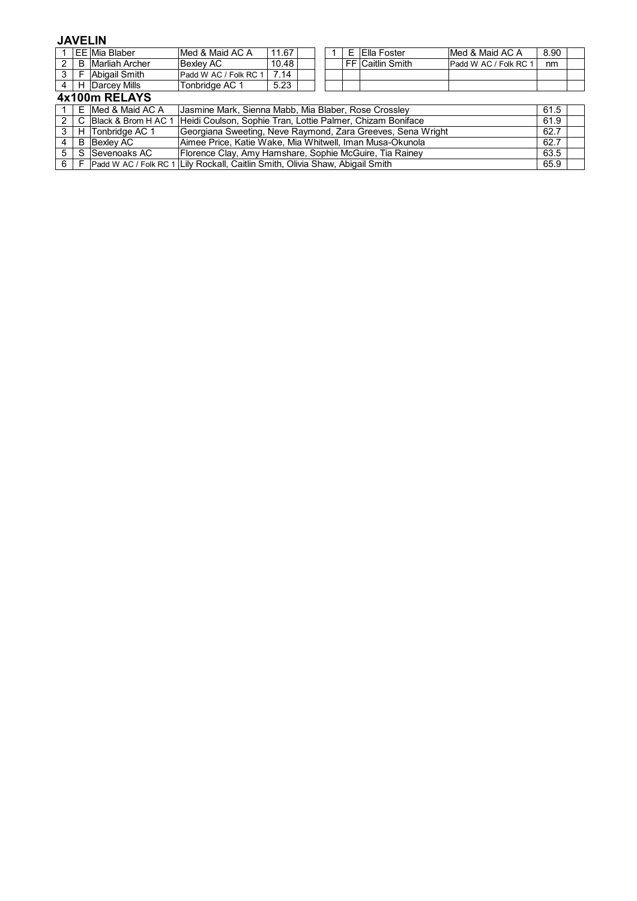# **JAVELIN**

|                |               | <b>EE</b> Mia Blaber  | Med & Maid AC A                                                               | 11.67                                                       |  |  | Е | Ella Foster      | Med & Maid AC A       | 8.90 |  |
|----------------|---------------|-----------------------|-------------------------------------------------------------------------------|-------------------------------------------------------------|--|--|---|------------------|-----------------------|------|--|
| 2              | B             | <b>Marliah Archer</b> | <b>Bexlev AC</b>                                                              | 10.48                                                       |  |  |   | FF Caitlin Smith | Padd W AC / Folk RC 1 | nm   |  |
| 3 <sup>1</sup> | F             | Abigail Smith         | Padd W AC / Folk RC 1                                                         | 7.14                                                        |  |  |   |                  |                       |      |  |
| 4              |               | H Darcey Mills        | Tonbridge AC 1                                                                | 5.23                                                        |  |  |   |                  |                       |      |  |
|                | 4x100m RELAYS |                       |                                                                               |                                                             |  |  |   |                  |                       |      |  |
|                |               | E Med & Maid AC A     |                                                                               | Jasmine Mark, Sienna Mabb, Mia Blaber, Rose Crossley        |  |  |   |                  |                       | 61.5 |  |
| 2              |               | C Black & Brom H AC 1 |                                                                               | Heidi Coulson, Sophie Tran, Lottie Palmer, Chizam Boniface  |  |  |   |                  |                       | 61.9 |  |
| 3              |               | H Tonbridge AC 1      |                                                                               | Georgiana Sweeting, Neve Raymond, Zara Greeves, Sena Wright |  |  |   |                  |                       | 62.7 |  |
| 4              |               | <b>B</b> Bexley AC    | Aimee Price, Katie Wake, Mia Whitwell, Iman Musa-Okunola                      |                                                             |  |  |   |                  | 62.7                  |      |  |
| 5              | S             | Sevenoaks AC          | Florence Clay, Amy Hamshare, Sophie McGuire, Tia Rainey                       |                                                             |  |  |   |                  | 63.5                  |      |  |
| 6              | E             |                       | Padd W AC / Folk RC 1 Lily Rockall, Caitlin Smith, Olivia Shaw, Abigail Smith |                                                             |  |  |   |                  | 65.9                  |      |  |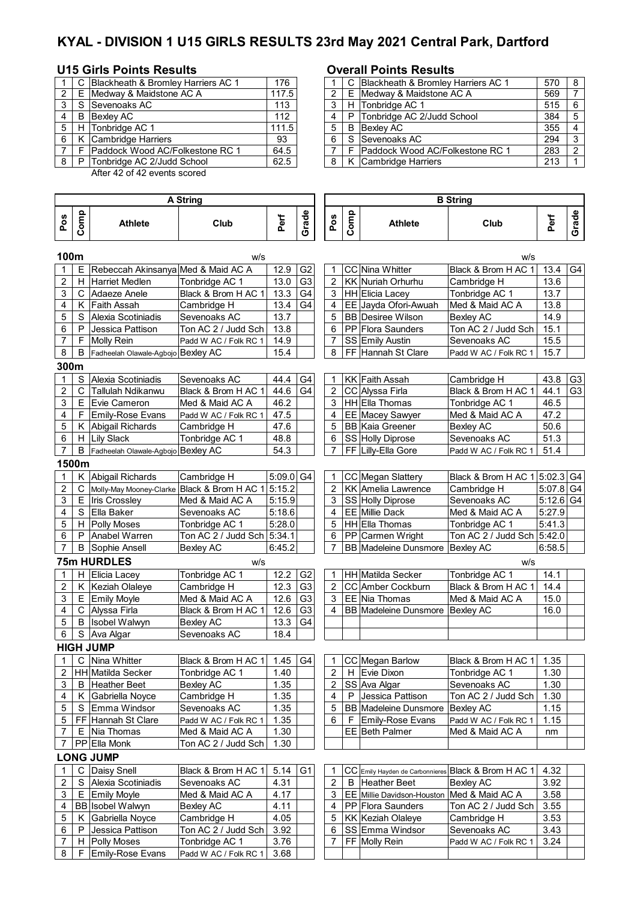# **KYAL - DIVISION 1 U15 GIRLS RESULTS 23rd May 2021 Central Park, Dartford**

### **U15 Girls Points Results Overall Points Results**

|    | C Blackheath & Bromley Harriers AC 1 | 176                                                                                                                                                                     |    | C Blackheath & Bromley Harriers AC 1 |
|----|--------------------------------------|-------------------------------------------------------------------------------------------------------------------------------------------------------------------------|----|--------------------------------------|
|    |                                      | 117.5                                                                                                                                                                   |    | E Medway & Maidstone AC A            |
|    |                                      | 113                                                                                                                                                                     |    | H Tonbridge AC 1                     |
| B. |                                      | 112                                                                                                                                                                     |    | P Tonbridge AC 2/Judd School         |
|    |                                      | 111.5                                                                                                                                                                   | 5  | <b>B</b> Bexley AC                   |
|    |                                      | 93                                                                                                                                                                      | -6 | S Sevenoaks AC                       |
|    |                                      | 64.5                                                                                                                                                                    |    | F   Paddock Wood AC/Folkestone RC 1  |
| P  |                                      | 62.5                                                                                                                                                                    | 8  | K Cambridge Harriers                 |
|    |                                      | E Medway & Maidstone AC A<br>S Sevenoaks AC<br>Bexley AC<br>H Tonbridge AC 1<br>K Cambridge Harriers<br>F Paddock Wood AC/Folkestone RC 1<br>Tonbridge AC 2/Judd School |    |                                      |

 $8$  | F Emily-Rose Evans | Padd W AC / Folk RC 1 | 3.68

After 42 of 42 events scored

### **Pos Comp Athlete Club Perf Grade Pos Comp Athlete Club Perf Grade 100m** w/s w/s  $E$  Rebeccah Akinsanya Med & Maid AC A  $\mid$  12.9 G2  $\mid$  1 CC Nina Whitter Black & Brom H AC 1 13.4 G4 2 | H | Harriet Medlen | Tonbridge AC 1 | 13.0 | G3 | 2 | KK | Nuriah Orhurhu | Cambridge H | 13.6  $3 \mid C$  Adaeze Anele Black & Brom H AC 1 | 13.3  $|G4 \mid 3$  | HH Elicia Lacey | Tonbridge AC 1 | 13.7 4 K Faith Assah Cambridge H 13.4 G4 4 EE Jayda Ofori-Awuah Med & Maid AC A 13.8 5 S Alexia Scotiniadis Sevenoaks AC 13.7 | | 5 BB Desiree Wilson Bexley AC 14.9 6 P Jessica Pattison Ton AC 2 / Judd Sch 13.8 6 PP Flora Saunders Ton AC 2 / Judd Sch 15.1 7 | F | Molly Rein | Padd W AC / Folk RC 1 | 14.9 | | | | 7 | SS | Emily Austin | Sevenoaks AC | 15.5 8 | B Fadheelah Olawale-Agbojo Bexley AC | 15.4 | | 8 | FF Hannah St Clare | Padd W AC / Folk RC 1 | 15.7 **300m** 1 S Alexia Scotiniadis Sevenoaks AC 44.4 G4 1 KK Faith Assah Cambridge H 43.8 G3 2 | C | Tallulah Ndikanwu | Black & Brom H AC 1 | 44.6 | G4 |  $\int$  2 | CC | Alyssa Firla | Black & Brom H AC 1 | 44.1 | G3  $3 \mid E$  Evie Cameron Med & Maid AC A  $\mid 46.2 \mid$  3 HH Ella Thomas Tonbridge AC 1 46.5 4 | F Emily-Rose Evans | Padd W AC / Folk RC 1 | 47.5 | | | | 4 | EE | Macey Sawyer | Med & Maid AC A | 47.2 5 K Abigail Richards Cambridge H 47.6 | | 5 BB Kaia Greener Bexley AC | 50.6 6 | H | Lily Slack | Tonbridge AC 1 | 48.8 | | | 6 | SS | Holly Diprose | Sevenoaks AC | 51.3 7 | B Fadheelah Olawale-Agbojo Bexley AC | 54.3 | | 7 | FF Lilly-Ella Gore | Padd W AC / Folk RC 1 | 51.4 **1500m** 1 K Abigail Richards Cambridge H 5:09.0 G4 1 CC Megan Slattery Black & Brom H AC 1 5:02.3 G4 2 | C | Molly-May Mooney-Clarke | Black & Brom H AC 1 | 5:15.2 | | | 2 | KK | Amelia Lawrence | Cambridge H | 5:07.8 | G4 3 | E |Iris Crossley Med & Maid AC A | 5:15.9 | 3 | SS | Holly Diprose | Sevenoaks AC | 5:12.6 | G4 4 S Ella Baker Sevenoaks AC 5:18.6 | 4 EE Millie Dack Med & Maid AC A 5:27.9 5 | H Polly Moses | Tonbridge AC 1 | 5:28.0 | | | 5 | HH Ella Thomas | Tonbridge AC 1 | 5:41.3<br>6 | P | Anabel Warren | Ton AC 2 / Judd Sch | 5:34.1 | | | | 6 | PP | Carmen Wright | Ton AC 2 / Judd Sch | 5:42.0 6 P Anabel Warren Ton AC 2 / Judd Sch 5:34.1 6 PP Carmen Wright Ton AC 2 / Judd Sch 5:42.0 7 | B Sophie Ansell | Bexley AC | 6:45.2 | | 7 | BB Madeleine Dunsmore | Bexley AC | 6:58.5 **75m HURDLES** w/s w/s 1 H Elicia Lacey Tonbridge AC 1 12.2 G2 1 HH Matilda Secker Tonbridge AC 1 14.1 2 | K | Keziah Olaleye | Cambridge H | 12.3 | G3 | | 2 | CC | Amber Cockburn | Black & Brom H AC 1 | 14.4  $3 \mid E$  Emily Moyle Med & Maid AC A  $\mid 12.6 \mid G3 \mid 3 \mid EE$  Nia Thomas Med & Maid AC A  $\mid 15.0$ 4 | C | Alyssa Firla | Black & Brom H AC 1 | 12.6 | G3 | | 4 | BB | Madeleine Dunsmore | Bexley AC | 16.0 5 | B | Isobel Walwyn | Bexley AC | 13.3 | G4 6 S Ava Algar Sevenoaks AC 18.4 **HIGH JUMP** 1 | C | Nina Whitter | Black & Brom H AC 1 | 1.45 | G4 | T | CC | Megan Barlow | Black & Brom H AC 1 | 1.35 2 HH Matilda Secker Tonbridge AC 1 | 1.40 | | | 2 | H Evie Dixon | Tonbridge AC 1 | 1.30 3 B Heather Beet Bexley AC 1.35 2 SS Ava Algar Sevenoaks AC 1.30 4 K Gabriella Noyce Cambridge H 1.35 4 P Jessica Pattison Ton AC 2 / Judd Sch 1.30 5 S Emma Windsor Sevenoaks AC 1.35 | 5 BB Madeleine Dunsmore Bexley AC 1.15 5 FF Hannah St Clare Padd W AC / Folk RC 1 | 1.35 6 | F Emily-Rose Evans Padd W AC / Folk RC 1 | 1.15 7 E Nia Thomas Med & Maid AC A 1.30 | | EE Beth Palmer Med & Maid AC A | nm 7 PP Ella Monk Ton AC 2 / Judd Sch 1.30 **LONG JUMP** 1 | C | Daisy Snell | Black & Brom H AC 1 |  $5.14$  | G1 |  $1$  | CC | Emily Hayden de Carbonnieres | Black & Brom H AC 1 | 4.32 2 S Alexia Scotiniadis Sevenoaks AC 4.31 | | 2 | B Heather Beet Bexley AC | 3.92  $3 \mid E$  Emily Moyle Med & Maid AC A  $\mid 4.17 \mid$   $\mid 3 \mid EE$  Millie Davidson-Houston Med & Maid AC A  $\mid 3.58 \mid$ 4 BB Isobel Walwyn Bexley AC 4.11 4 PP Flora Saunders Ton AC 2 / Judd Sch 3.55 5 K Gabriella Noyce Cambridge H 4.05 5 KK Keziah Olaleye Cambridge H 3.53 6 P Jessica Pattison  $\vert$  Ton AC 2 / Judd Sch 3.92 | | | 6  $\vert$  SS Emma Windsor Sevenoaks AC | 3.43 7 | H Polly Moses | Tonbridge AC 1 | 3.76 | | | 7 | FF | Molly Rein | Padd W AC / Folk RC 1 | 3.24 **B String A String**

|                            | 176                                                                                                                                                                                                                  |  |  | 570                                                                                                                                                                                                               | -8            |
|----------------------------|----------------------------------------------------------------------------------------------------------------------------------------------------------------------------------------------------------------------|--|--|-------------------------------------------------------------------------------------------------------------------------------------------------------------------------------------------------------------------|---------------|
|                            | 117.5                                                                                                                                                                                                                |  |  | 569                                                                                                                                                                                                               |               |
|                            | 113                                                                                                                                                                                                                  |  |  | 515                                                                                                                                                                                                               | - 6           |
|                            | 112                                                                                                                                                                                                                  |  |  | 384                                                                                                                                                                                                               | -5            |
|                            | 111.5                                                                                                                                                                                                                |  |  | 355                                                                                                                                                                                                               |               |
|                            | 93                                                                                                                                                                                                                   |  |  | 294                                                                                                                                                                                                               | -3            |
|                            | 64.5                                                                                                                                                                                                                 |  |  | 283                                                                                                                                                                                                               | $\mathcal{P}$ |
|                            | 62.5                                                                                                                                                                                                                 |  |  | 213                                                                                                                                                                                                               |               |
| l S<br>B<br>5   H<br>8 I P | C Blackheath & Bromley Harriers AC 1<br>2   E Medway & Maidstone AC A<br>Sevenoaks AC<br>Bexlev AC<br>Tonbridge AC 1<br>K Cambridge Harriers<br><b>Paddock Wood AC/Folkestone RC 1</b><br>Tonbridge AC 2/Judd School |  |  | C Blackheath & Bromley Harriers AC 1<br>E Medway & Maidstone AC A<br>H Tonbridge AC 1<br>P Tonbridge AC 2/Judd School<br>B Bexley AC<br>S Sevenoaks AC<br>Paddock Wood AC/Folkestone RC 1<br>K Cambridge Harriers |               |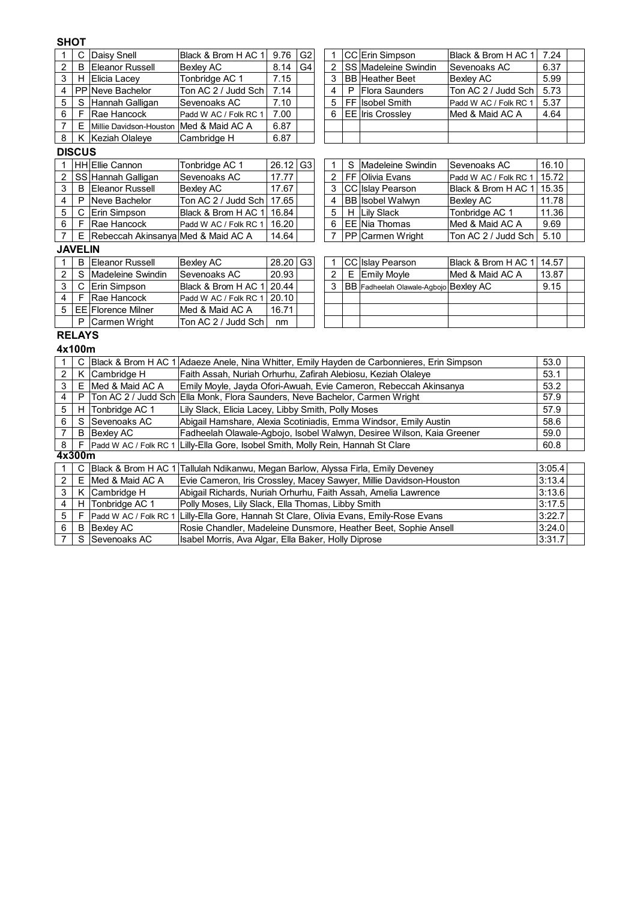# **SHOT**

| 1                       | $\mathsf{C}$ | Daisy Snell                        | Black & Brom H AC 1                                                                        | 9.76                                                                  | G <sub>2</sub> | 1              |   | CC Erin Simpson                       | Black & Brom H AC 1         | 7.24   |  |
|-------------------------|--------------|------------------------------------|--------------------------------------------------------------------------------------------|-----------------------------------------------------------------------|----------------|----------------|---|---------------------------------------|-----------------------------|--------|--|
| $\overline{c}$          | B            | <b>Eleanor Russell</b>             | <b>Bexley AC</b>                                                                           | 8.14                                                                  | G <sub>4</sub> | 2              |   | SS Madeleine Swindin                  | Sevenoaks AC                | 6.37   |  |
| 3                       | H            | Elicia Lacey                       | Tonbridge AC 1                                                                             | 7.15                                                                  |                | 3              |   | <b>BB</b> Heather Beet                | <b>Bexley AC</b>            | 5.99   |  |
| 4                       |              | PP Neve Bachelor                   | Ton AC 2 / Judd Sch                                                                        | 7.14                                                                  |                | 4              | P | <b>Flora Saunders</b>                 | Ton AC 2 / Judd Sch         | 5.73   |  |
| 5                       | S            | Hannah Galligan                    | Sevenoaks AC                                                                               | 7.10                                                                  |                | 5              |   | FF Isobel Smith                       | Padd W AC / Folk RC 1       | 5.37   |  |
| 6                       | F            | Rae Hancock                        | Padd W AC / Folk RC 1                                                                      | 7.00                                                                  |                | 6              |   | <b>EE</b> Iris Crossley               | Med & Maid AC A             | 4.64   |  |
| $\overline{7}$          | Е            | Millie Davidson-Houston            | Med & Maid AC A                                                                            | 6.87                                                                  |                |                |   |                                       |                             |        |  |
| 8                       | Κ            | Keziah Olaleye                     | Cambridge H                                                                                | 6.87                                                                  |                |                |   |                                       |                             |        |  |
| <b>DISCUS</b>           |              |                                    |                                                                                            |                                                                       |                |                |   |                                       |                             |        |  |
| 1                       |              | HH Ellie Cannon                    | Tonbridge AC 1                                                                             | 26.12                                                                 | G <sub>3</sub> | 1              | S | Madeleine Swindin                     | Sevenoaks AC                | 16.10  |  |
| $\overline{c}$          |              | SS Hannah Galligan                 | Sevenoaks AC                                                                               | 17.77                                                                 |                | 2              |   | FF Olivia Evans                       | Padd W AC / Folk RC 1       | 15.72  |  |
| 3                       | B            | <b>Eleanor Russell</b>             | <b>Bexley AC</b>                                                                           | 17.67                                                                 |                | 3              |   | CC Islay Pearson                      | Black & Brom H AC 1   15.35 |        |  |
| $\overline{\mathbf{4}}$ | P            | Neve Bachelor                      | Ton AC 2 / Judd Sch                                                                        | 17.65                                                                 |                | 4              |   | <b>BB</b> Isobel Walwyn               | Bexley AC                   | 11.78  |  |
| 5                       | С            | Erin Simpson                       | Black & Brom H AC 1                                                                        | 16.84                                                                 |                | 5              | H | <b>Lily Slack</b>                     | Tonbridge AC 1              | 11.36  |  |
| 6                       | F            | Rae Hancock                        | Padd W AC / Folk RC 1                                                                      | 16.20                                                                 |                | 6              |   | EE Nia Thomas                         | Med & Maid AC A             | 9.69   |  |
| $\overline{7}$          | Е            | Rebeccah Akinsanya Med & Maid AC A |                                                                                            | 14.64                                                                 |                | $\overline{7}$ |   | PP Carmen Wright                      | Ton AC 2 / Judd Sch         | 5.10   |  |
| <b>JAVELIN</b>          |              |                                    |                                                                                            |                                                                       |                |                |   |                                       |                             |        |  |
| 1                       | B            | <b>Eleanor Russell</b>             | <b>Bexley AC</b>                                                                           | 28.20                                                                 | G <sub>3</sub> | 1              |   | CC Islay Pearson                      | Black & Brom H AC 1   14.57 |        |  |
| $\boldsymbol{2}$        | S            | Madeleine Swindin                  | Sevenoaks AC                                                                               | 20.93                                                                 |                | $\overline{2}$ | E | <b>Emily Moyle</b>                    | Med & Maid AC A             | 13.87  |  |
| 3                       | C            | <b>Erin Simpson</b>                | Black & Brom H AC 1                                                                        | 20.44                                                                 |                | 3              |   | BB Fadheelah Olawale-Agbojo Bexley AC |                             | 9.15   |  |
| 4                       | F            | Rae Hancock                        | Padd W AC / Folk RC 1                                                                      | 20.10                                                                 |                |                |   |                                       |                             |        |  |
| 5                       |              | <b>EE</b> Florence Milner          | Med & Maid AC A                                                                            | 16.71                                                                 |                |                |   |                                       |                             |        |  |
|                         | P            | Carmen Wright                      | Ton AC 2 / Judd Sch                                                                        | nm                                                                    |                |                |   |                                       |                             |        |  |
| <b>RELAYS</b>           |              |                                    |                                                                                            |                                                                       |                |                |   |                                       |                             |        |  |
| 4x100m                  |              |                                    |                                                                                            |                                                                       |                |                |   |                                       |                             |        |  |
| 1                       | C            |                                    | Black & Brom H AC 1 Adaeze Anele, Nina Whitter, Emily Hayden de Carbonnieres, Erin Simpson |                                                                       |                |                |   |                                       |                             | 53.0   |  |
| $\boldsymbol{2}$        | K            | Cambridge H                        | Faith Assah, Nuriah Orhurhu, Zafirah Alebiosu, Keziah Olaleye                              |                                                                       |                |                |   |                                       |                             | 53.1   |  |
| 3                       | Ε            | Med & Maid AC A                    | Emily Moyle, Jayda Ofori-Awuah, Evie Cameron, Rebeccah Akinsanya                           |                                                                       |                |                |   |                                       |                             | 53.2   |  |
| 4                       | P            |                                    | Ton AC 2 / Judd Sch Ella Monk, Flora Saunders, Neve Bachelor, Carmen Wright                |                                                                       |                |                |   |                                       |                             | 57.9   |  |
| 5                       | H            | Tonbridge AC 1                     | Lily Slack, Elicia Lacey, Libby Smith, Polly Moses                                         |                                                                       |                |                |   |                                       |                             | 57.9   |  |
| 6                       | S            | Sevenoaks AC                       |                                                                                            | Abigail Hamshare, Alexia Scotiniadis, Emma Windsor, Emily Austin      |                |                |   |                                       |                             | 58.6   |  |
| $\overline{7}$          | B            | <b>Bexley AC</b>                   |                                                                                            | Fadheelah Olawale-Agbojo, Isobel Walwyn, Desiree Wilson, Kaia Greener |                |                |   |                                       |                             | 59.0   |  |
| $\bf8$                  | F            | Padd W AC / Folk RC 1              | Lilly-Ella Gore, Isobel Smith, Molly Rein, Hannah St Clare                                 |                                                                       |                |                |   |                                       | 60.8                        |        |  |
| 4x300m                  |              |                                    |                                                                                            |                                                                       |                |                |   |                                       |                             |        |  |
| 1                       | $\mathsf{C}$ |                                    | Black & Brom H AC 1 Tallulah Ndikanwu, Megan Barlow, Alyssa Firla, Emily Deveney           |                                                                       |                |                |   |                                       | 3:05.4                      |        |  |
| $\sqrt{2}$              | E            | Med & Maid AC A                    | Evie Cameron, Iris Crossley, Macey Sawyer, Millie Davidson-Houston                         |                                                                       |                |                |   |                                       |                             | 3:13.4 |  |
| 3                       | Κ            | Cambridge H                        | Abigail Richards, Nuriah Orhurhu, Faith Assah, Amelia Lawrence                             |                                                                       |                |                |   |                                       |                             | 3:13.6 |  |
| 4                       | Н            | Tonbridge AC 1                     | Polly Moses, Lily Slack, Ella Thomas, Libby Smith                                          |                                                                       |                |                |   |                                       |                             | 3:17.5 |  |
| 5                       | F            | Padd W AC / Folk RC 1              | Lilly-Ella Gore, Hannah St Clare, Olivia Evans, Emily-Rose Evans                           |                                                                       |                |                |   |                                       |                             | 3:22.7 |  |
| 6                       | B            | Bexlev AC                          | Rosie Chandler, Madeleine Dunsmore, Heather Beet, Sophie Ansell                            |                                                                       |                |                |   |                                       |                             | 3:24.0 |  |

7]S |Sevenoaks AC |Isabel Morris, Ava Algar, Ella Baker, Holly Diprose |3:31.7

Isabel Morris, Ava Algar, Ella Baker, Holly Diprose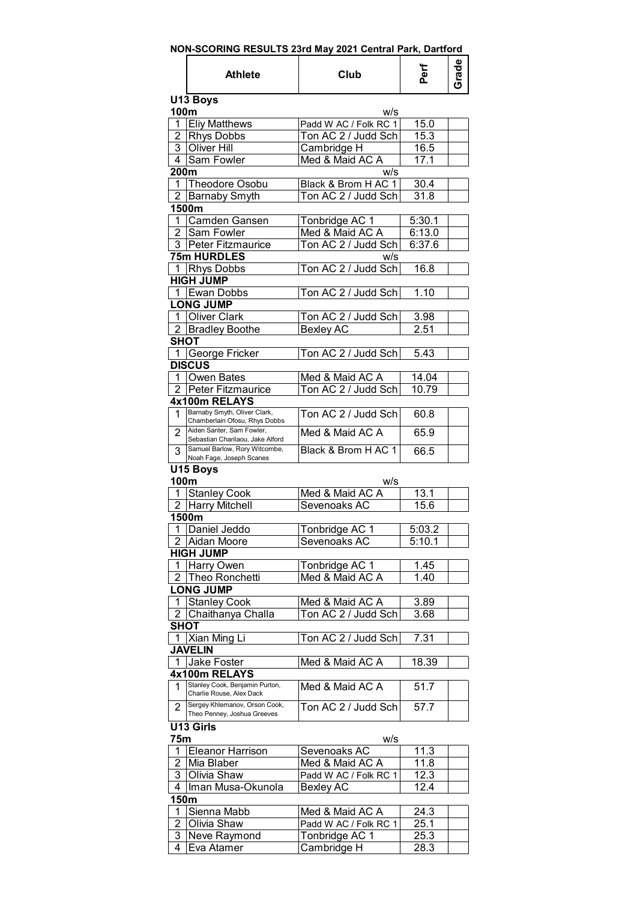| NON-SCORING RESULTS 23rd May 2021 Central Park, Dartford |  |
|----------------------------------------------------------|--|
|----------------------------------------------------------|--|

|                | <b>Athlete</b>                                                | Club                                     | Perf              | Grade |
|----------------|---------------------------------------------------------------|------------------------------------------|-------------------|-------|
|                | U13 Boys                                                      |                                          |                   |       |
| 100m           |                                                               | w/s                                      |                   |       |
| 1              | <b>Eliy Matthews</b>                                          | Padd W AC / Folk RC 1                    | 15.0              |       |
|                | 2 Rhys Dobbs                                                  | Ton AC 2 / Judd Sch                      | 15.3              |       |
|                | 3 Oliver Hill                                                 | Cambridge H                              | 16.5              |       |
|                | 4 Sam Fowler                                                  | Med & Maid AC A                          | 17.1              |       |
| 200m           | 1 Theodore Osobu                                              | W/S                                      |                   |       |
| $\overline{2}$ |                                                               | Black & Brom H AC 1                      | 30.4<br>31.8      |       |
|                | <b>Barnaby Smyth</b><br>1500m                                 | Ton AC 2 / Judd Sch                      |                   |       |
| 1.             | Camden Gansen                                                 | Tonbridge AC 1                           | 5:30.1            |       |
| 2              | Sam Fowler                                                    | Med & Maid AC A                          | 6:13.0            |       |
| 3              | Peter Fitzmaurice                                             | Ton AC 2 / Judd Sch                      | 6:37.6            |       |
|                | 75m HURDLES                                                   | w/s                                      |                   |       |
|                | 1 Rhys Dobbs                                                  | Ton AC 2 / Judd Sch                      | 16.8              |       |
|                | <b>HIGH JUMP</b>                                              |                                          |                   |       |
|                | 1 Ewan Dobbs                                                  | Ton AC 2 / Judd Sch                      | 1.10              |       |
|                | <b>LONG JUMP</b>                                              |                                          |                   |       |
| 1.             | <b>Oliver Clark</b>                                           | Ton AC 2 / Judd Sch                      | 3.98              |       |
|                | 2 Bradley Boothe                                              | Bexley AC                                | 2.51              |       |
| <b>SHOT</b>    |                                                               |                                          |                   |       |
| 1              | George Fricker<br><b>DISCUS</b>                               | Ton AC 2 / Judd Sch                      | 5.43              |       |
|                | 1   Owen Bates                                                | Med & Maid AC A                          | 14.04             |       |
|                | 2 Peter Fitzmaurice                                           | Ton AC 2 / Judd Sch                      | 10.79             |       |
|                | 4x100m RELAYS                                                 |                                          |                   |       |
| 1              | Barnaby Smyth, Oliver Clark,                                  | Ton AC 2 / Judd Sch                      | 60.8              |       |
|                | Chamberlain Ofosu, Rhys Dobbs                                 |                                          |                   |       |
| 2              | Aiden Santer, Sam Fowler,<br>Sebastian Charilaou, Jake Alford | Med & Maid AC A                          | 65.9              |       |
| 3              | Samuel Barlow, Rory Witcombe,<br>Noah Fage, Joseph Scanes     | Black & Brom H AC 1                      | 66.5              |       |
|                | U15 Boys                                                      |                                          |                   |       |
| 100m           |                                                               | w/s                                      |                   |       |
|                | 1 Stanley Cook                                                | Med & Maid AC A                          | 13.1              |       |
|                | 2 Harry Mitchell                                              | Sevenoaks AC                             | 15.6              |       |
|                | 1500m                                                         |                                          |                   |       |
|                | 1 Daniel Jeddo                                                | Tonbridge AC 1                           | 5:03.2            |       |
|                | 2 Aidan Moore                                                 | Sevenoaks AC                             | 5:10.1            |       |
|                | <b>HIGH JUMP</b>                                              |                                          |                   |       |
| 1              | Harry Owen                                                    | Tonbridge AC 1                           | 1.45              |       |
| $\overline{2}$ | Theo Ronchetti                                                | Med & Maid AC A                          | 1.40              |       |
|                | <b>LONG JUMP</b>                                              |                                          |                   |       |
| 1              | <b>Stanley Cook</b><br>Chaithanya Challa                      | Med & Maid AC A                          | 3.89<br>3.68      |       |
| 2<br>SHOT      |                                                               | Ton AC 2 / Judd Sch                      |                   |       |
|                | Xian Ming Li                                                  | Ton AC 2 / Judd Sch                      | 7.31              |       |
|                | <b>JAVELIN</b>                                                |                                          |                   |       |
| 1              | Jake Foster                                                   | Med & Maid AC A                          | 18.39             |       |
|                | 4x100m RELAYS                                                 |                                          |                   |       |
| 1              | Stanley Cook, Benjamin Purton,                                | Med & Maid AC A                          | 51.7              |       |
| $\overline{2}$ | Charlie Rouse, Alex Dack<br>Sergey Khlemanov, Orson Cook,     | Ton AC 2 / Judd Sch                      | 57.7              |       |
|                | Theo Penney, Joshua Greeves                                   |                                          |                   |       |
|                | U13 Girls                                                     |                                          |                   |       |
| 75m            |                                                               | w/s                                      |                   |       |
| 1<br>2         | <b>Eleanor Harrison</b><br>Mia Blaber                         | Sevenoaks AC                             | 11.3<br>11.8      |       |
| 3              | Olivia Shaw                                                   | Med & Maid AC A<br>Padd W AC / Folk RC 1 | 12.3              |       |
| 4              | Iman Musa-Okunola                                             | Bexley AC                                | 12.4              |       |
| 150m           |                                                               |                                          |                   |       |
| 1              | Sienna Mabb                                                   | Med & Maid AC A                          | 24.3              |       |
| $\overline{2}$ | Olivia Shaw                                                   | Padd W AC / Folk RC 1                    | 25.1              |       |
| 3              | Neve Raymond                                                  | Tonbridge AC 1                           | 25.3              |       |
| 4              | Eva Atamer                                                    | Cambridge H                              | $\overline{2}8.3$ |       |